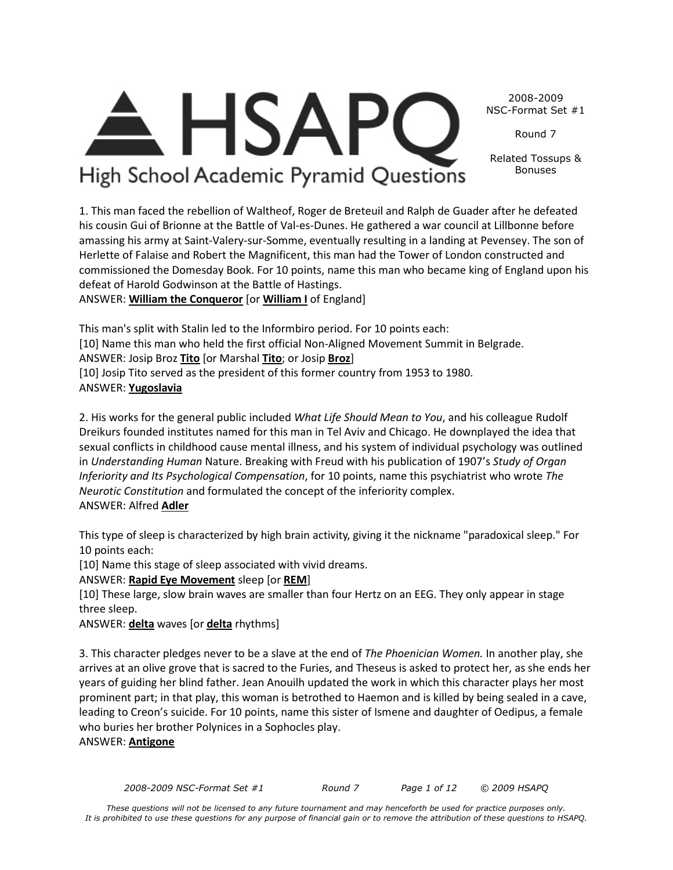*2008-2009 NSC-Format Set #1 Round 7 Page 1 of 12 © 2009 HSAPQ* 

2008-2009 NSC-Format Set #1

Round 7

Related Tossups & Bonuses

**. HSAF** High School Academic Pyramid Questions

1. This man faced the rebellion of Waltheof, Roger de Breteuil and Ralph de Guader after he defeated his cousin Gui of Brionne at the Battle of Val-es-Dunes. He gathered a war council at Lillbonne before amassing his army at Saint-Valery-sur-Somme, eventually resulting in a landing at Pevensey. The son of Herlette of Falaise and Robert the Magnificent, this man had the Tower of London constructed and commissioned the Domesday Book. For 10 points, name this man who became king of England upon his defeat of Harold Godwinson at the Battle of Hastings.

ANSWER: **William the Conqueror** [or **William I** of England]

This man's split with Stalin led to the Informbiro period. For 10 points each: [10] Name this man who held the first official Non-Aligned Movement Summit in Belgrade. ANSWER: Josip Broz **Tito** [or Marshal **Tito**; or Josip **Broz**] [10] Josip Tito served as the president of this former country from 1953 to 1980. ANSWER: **Yugoslavia**

2. His works for the general public included *What Life Should Mean to You*, and his colleague Rudolf Dreikurs founded institutes named for this man in Tel Aviv and Chicago. He downplayed the idea that sexual conflicts in childhood cause mental illness, and his system of individual psychology was outlined in *Understanding Human* Nature. Breaking with Freud with his publication of 1907's *Study of Organ Inferiority and Its Psychological Compensation*, for 10 points, name this psychiatrist who wrote *The Neurotic Constitution* and formulated the concept of the inferiority complex. ANSWER: Alfred **Adler**

This type of sleep is characterized by high brain activity, giving it the nickname "paradoxical sleep." For 10 points each:

[10] Name this stage of sleep associated with vivid dreams.

ANSWER: **Rapid Eye Movement** sleep [or **REM**]

[10] These large, slow brain waves are smaller than four Hertz on an EEG. They only appear in stage three sleep.

ANSWER: **delta** waves [or **delta** rhythms]

3. This character pledges never to be a slave at the end of *The Phoenician Women.* In another play, she arrives at an olive grove that is sacred to the Furies, and Theseus is asked to protect her, as she ends her years of guiding her blind father. Jean Anouilh updated the work in which this character plays her most prominent part; in that play, this woman is betrothed to Haemon and is killed by being sealed in a cave, leading to Creon's suicide. For 10 points, name this sister of Ismene and daughter of Oedipus, a female who buries her brother Polynices in a Sophocles play.

ANSWER: **Antigone**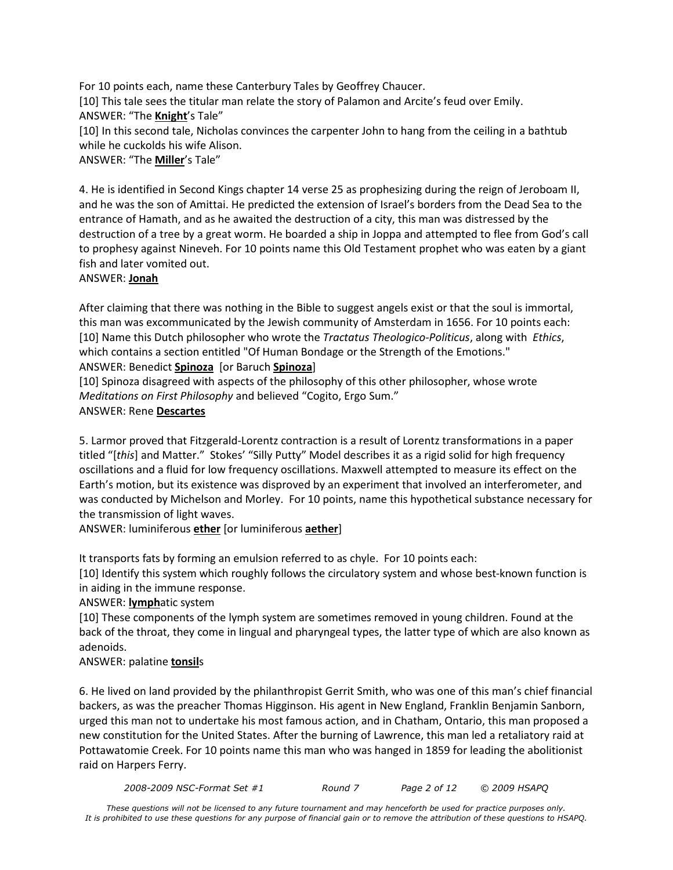For 10 points each, name these Canterbury Tales by Geoffrey Chaucer. [10] This tale sees the titular man relate the story of Palamon and Arcite's feud over Emily. ANSWER: "The **Knight**'s Tale" [10] In this second tale, Nicholas convinces the carpenter John to hang from the ceiling in a bathtub while he cuckolds his wife Alison.

ANSWER: "The **Miller**'s Tale"

4. He is identified in Second Kings chapter 14 verse 25 as prophesizing during the reign of Jeroboam II, and he was the son of Amittai. He predicted the extension of Israel's borders from the Dead Sea to the entrance of Hamath, and as he awaited the destruction of a city, this man was distressed by the destruction of a tree by a great worm. He boarded a ship in Joppa and attempted to flee from God's call to prophesy against Nineveh. For 10 points name this Old Testament prophet who was eaten by a giant fish and later vomited out.

### ANSWER: **Jonah**

After claiming that there was nothing in the Bible to suggest angels exist or that the soul is immortal, this man was excommunicated by the Jewish community of Amsterdam in 1656. For 10 points each: [10] Name this Dutch philosopher who wrote the *Tractatus Theologico-Politicus*, along with *Ethics*, which contains a section entitled "Of Human Bondage or the Strength of the Emotions." ANSWER: Benedict **Spinoza** [or Baruch **Spinoza**]

[10] Spinoza disagreed with aspects of the philosophy of this other philosopher, whose wrote *Meditations on First Philosophy* and believed "Cogito, Ergo Sum."

### ANSWER: Rene **Descartes**

5. Larmor proved that Fitzgerald-Lorentz contraction is a result of Lorentz transformations in a paper titled "[*this*] and Matter." Stokes' "Silly Putty" Model describes it as a rigid solid for high frequency oscillations and a fluid for low frequency oscillations. Maxwell attempted to measure its effect on the Earth's motion, but its existence was disproved by an experiment that involved an interferometer, and was conducted by Michelson and Morley. For 10 points, name this hypothetical substance necessary for the transmission of light waves.

ANSWER: luminiferous **ether** [or luminiferous **aether**]

It transports fats by forming an emulsion referred to as chyle. For 10 points each:

[10] Identify this system which roughly follows the circulatory system and whose best-known function is in aiding in the immune response.

### ANSWER: **lymph**atic system

[10] These components of the lymph system are sometimes removed in young children. Found at the back of the throat, they come in lingual and pharyngeal types, the latter type of which are also known as adenoids.

# ANSWER: palatine **tonsil**s

6. He lived on land provided by the philanthropist Gerrit Smith, who was one of this man's chief financial backers, as was the preacher Thomas Higginson. His agent in New England, Franklin Benjamin Sanborn, urged this man not to undertake his most famous action, and in Chatham, Ontario, this man proposed a new constitution for the United States. After the burning of Lawrence, this man led a retaliatory raid at Pottawatomie Creek. For 10 points name this man who was hanged in 1859 for leading the abolitionist raid on Harpers Ferry.

*2008-2009 NSC-Format Set #1 Round 7 Page 2 of 12 © 2009 HSAPQ*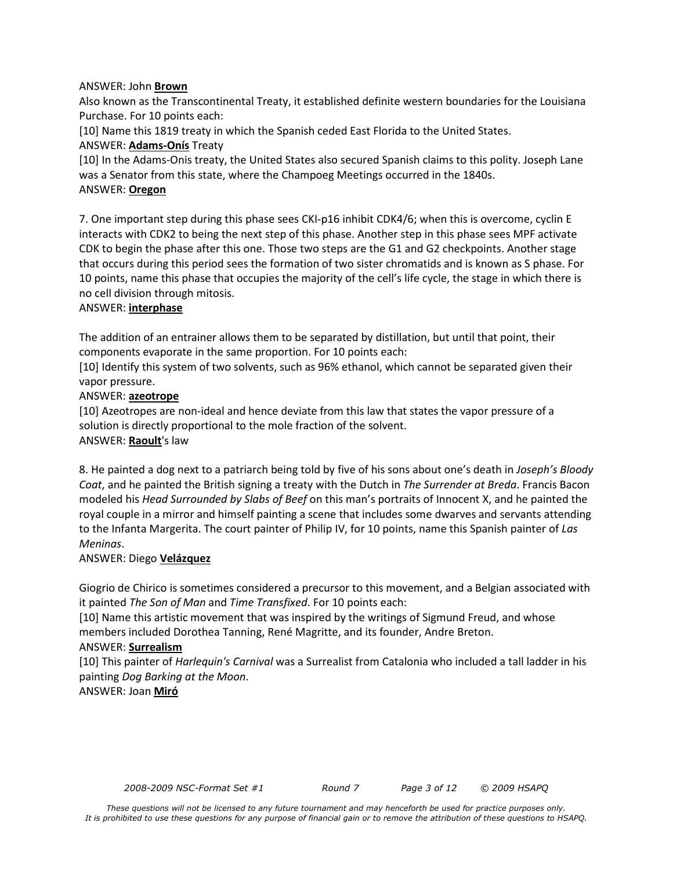### ANSWER: John **Brown**

Also known as the Transcontinental Treaty, it established definite western boundaries for the Louisiana Purchase. For 10 points each:

[10] Name this 1819 treaty in which the Spanish ceded East Florida to the United States.

ANSWER: **Adams-Onís** Treaty

[10] In the Adams-Onis treaty, the United States also secured Spanish claims to this polity. Joseph Lane was a Senator from this state, where the Champoeg Meetings occurred in the 1840s. ANSWER: **Oregon**

7. One important step during this phase sees CKI-p16 inhibit CDK4/6; when this is overcome, cyclin E interacts with CDK2 to being the next step of this phase. Another step in this phase sees MPF activate CDK to begin the phase after this one. Those two steps are the G1 and G2 checkpoints. Another stage that occurs during this period sees the formation of two sister chromatids and is known as S phase. For 10 points, name this phase that occupies the majority of the cell's life cycle, the stage in which there is no cell division through mitosis.

### ANSWER: **interphase**

The addition of an entrainer allows them to be separated by distillation, but until that point, their components evaporate in the same proportion. For 10 points each:

[10] Identify this system of two solvents, such as 96% ethanol, which cannot be separated given their vapor pressure.

### ANSWER: **azeotrope**

[10] Azeotropes are non-ideal and hence deviate from this law that states the vapor pressure of a solution is directly proportional to the mole fraction of the solvent. ANSWER: **Raoult**'s law

8. He painted a dog next to a patriarch being told by five of his sons about one's death in *Joseph's Bloody Coat*, and he painted the British signing a treaty with the Dutch in *The Surrender at Breda*. Francis Bacon modeled his *Head Surrounded by Slabs of Beef* on this man's portraits of Innocent X, and he painted the royal couple in a mirror and himself painting a scene that includes some dwarves and servants attending to the Infanta Margerita. The court painter of Philip IV, for 10 points, name this Spanish painter of *Las Meninas*.

### ANSWER: Diego **Velázquez**

Giogrio de Chirico is sometimes considered a precursor to this movement, and a Belgian associated with it painted *The Son of Man* and *Time Transfixed*. For 10 points each:

[10] Name this artistic movement that was inspired by the writings of Sigmund Freud, and whose members included Dorothea Tanning, René Magritte, and its founder, Andre Breton.

### ANSWER: **Surrealism**

[10] This painter of *Harlequin's Carnival* was a Surrealist from Catalonia who included a tall ladder in his painting *Dog Barking at the Moon*.

ANSWER: Joan **Miró**

*2008-2009 NSC-Format Set #1 Round 7 Page 3 of 12 © 2009 HSAPQ*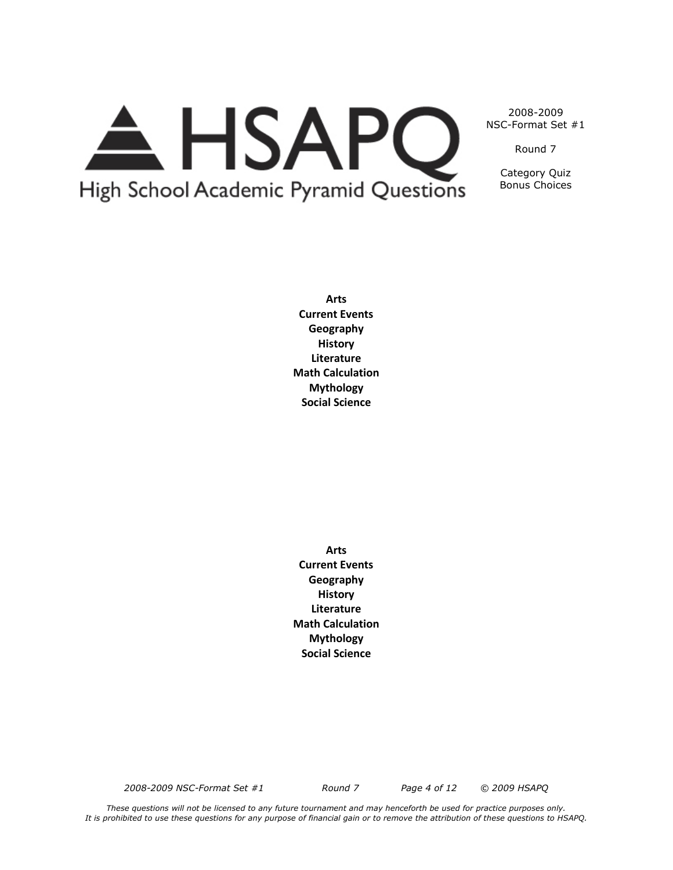# A HSAPQ High School Academic Pyramid Questions

2008-2009 NSC-Format Set #1

Round 7

Category Quiz Bonus Choices

**Arts Current Events Geography History Literature Math Calculation Mythology Social Science**

**Arts Current Events Geography History Literature Math Calculation Mythology Social Science**

*2008-2009 NSC-Format Set #1 Round 7 Page 4 of 12 © 2009 HSAPQ*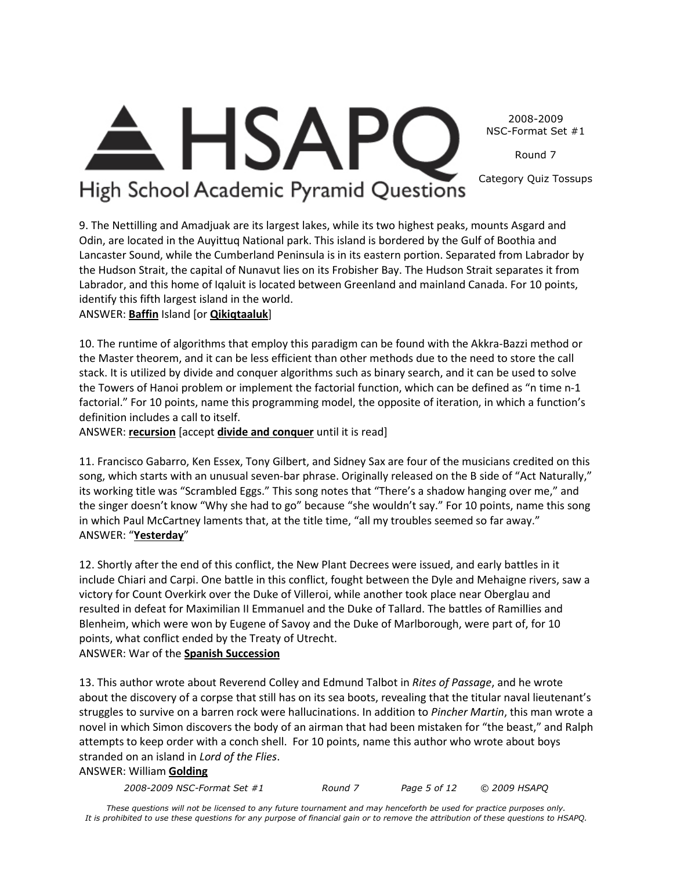2008-2009 NSC-Format Set #1

Round 7

Category Quiz Tossups

# **HSAPC** High School Academic Pyramid Questions

9. The Nettilling and Amadjuak are its largest lakes, while its two highest peaks, mounts Asgard and Odin, are located in the Auyittuq National park. This island is bordered by the Gulf of Boothia and Lancaster Sound, while the Cumberland Peninsula is in its eastern portion. Separated from Labrador by the Hudson Strait, the capital of Nunavut lies on its Frobisher Bay. The Hudson Strait separates it from Labrador, and this home of Iqaluit is located between Greenland and mainland Canada. For 10 points, identify this fifth largest island in the world.

ANSWER: **Baffin** Island [or **Qikiqtaaluk**]

10. The runtime of algorithms that employ this paradigm can be found with the Akkra-Bazzi method or the Master theorem, and it can be less efficient than other methods due to the need to store the call stack. It is utilized by divide and conquer algorithms such as binary search, and it can be used to solve the Towers of Hanoi problem or implement the factorial function, which can be defined as "n time n-1 factorial." For 10 points, name this programming model, the opposite of iteration, in which a function's definition includes a call to itself.

ANSWER: **recursion** [accept **divide and conquer** until it is read]

11. Francisco Gabarro, Ken Essex, Tony Gilbert, and Sidney Sax are four of the musicians credited on this song, which starts with an unusual seven-bar phrase. Originally released on the B side of "Act Naturally," its working title was "Scrambled Eggs." This song notes that "There's a shadow hanging over me," and the singer doesn't know "Why she had to go" because "she wouldn't say." For 10 points, name this song in which Paul McCartney laments that, at the title time, "all my troubles seemed so far away." ANSWER: "**Yesterday**"

12. Shortly after the end of this conflict, the New Plant Decrees were issued, and early battles in it include Chiari and Carpi. One battle in this conflict, fought between the Dyle and Mehaigne rivers, saw a victory for Count Overkirk over the Duke of Villeroi, while another took place near Oberglau and resulted in defeat for Maximilian II Emmanuel and the Duke of Tallard. The battles of Ramillies and Blenheim, which were won by Eugene of Savoy and the Duke of Marlborough, were part of, for 10 points, what conflict ended by the Treaty of Utrecht. ANSWER: War of the **Spanish Succession**

13. This author wrote about Reverend Colley and Edmund Talbot in *Rites of Passage*, and he wrote about the discovery of a corpse that still has on its sea boots, revealing that the titular naval lieutenant's struggles to survive on a barren rock were hallucinations. In addition to *Pincher Martin*, this man wrote a novel in which Simon discovers the body of an airman that had been mistaken for "the beast," and Ralph attempts to keep order with a conch shell. For 10 points, name this author who wrote about boys stranded on an island in *Lord of the Flies*.

### ANSWER: William **Golding**

*2008-2009 NSC-Format Set #1 Round 7 Page 5 of 12 © 2009 HSAPQ*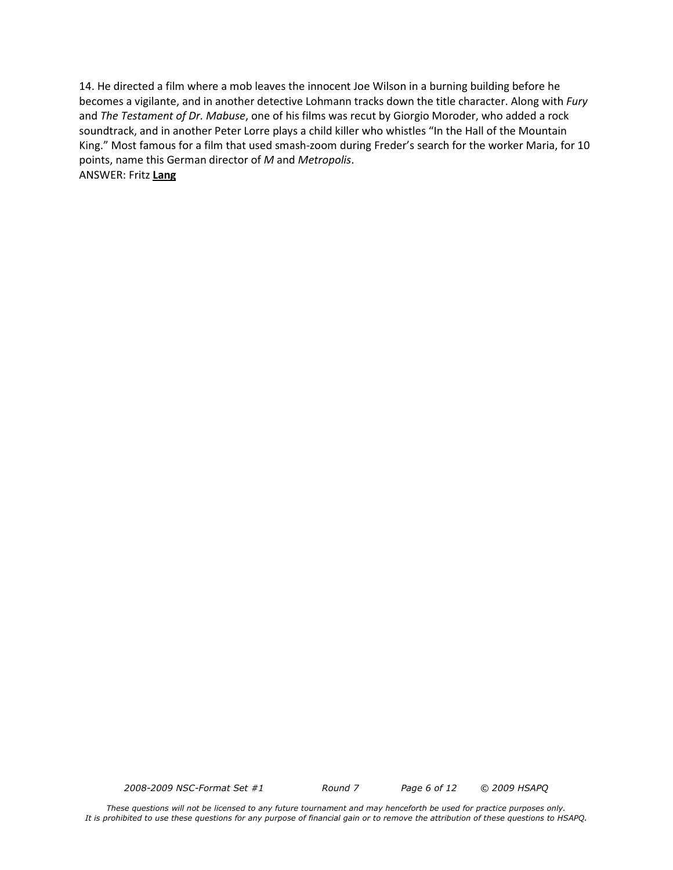14. He directed a film where a mob leaves the innocent Joe Wilson in a burning building before he becomes a vigilante, and in another detective Lohmann tracks down the title character. Along with *Fury* and *The Testament of Dr. Mabuse*, one of his films was recut by Giorgio Moroder, who added a rock soundtrack, and in another Peter Lorre plays a child killer who whistles "In the Hall of the Mountain King." Most famous for a film that used smash-zoom during Freder's search for the worker Maria, for 10 points, name this German director of *M* and *Metropolis*. ANSWER: Fritz **Lang**

*2008-2009 NSC-Format Set #1 Round 7 Page 6 of 12 © 2009 HSAPQ*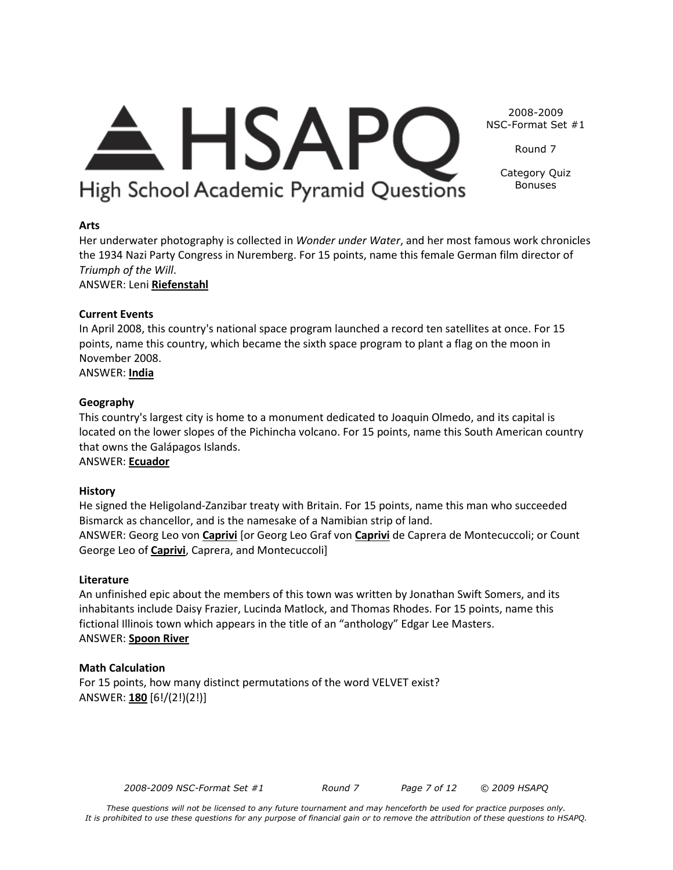# **Arts**

Her underwater photography is collected in *Wonder under Water*, and her most famous work chronicles the 1934 Nazi Party Congress in Nuremberg. For 15 points, name this female German film director of *Triumph of the Will*.

ANSWER: Leni **Riefenstahl**

# **Current Events**

In April 2008, this country's national space program launched a record ten satellites at once. For 15 points, name this country, which became the sixth space program to plant a flag on the moon in November 2008.

ANSWER: **India**

# **Geography**

This country's largest city is home to a monument dedicated to Joaquin Olmedo, and its capital is located on the lower slopes of the Pichincha volcano. For 15 points, name this South American country that owns the Galápagos Islands.

ANSWER: **Ecuador**

# **History**

He signed the Heligoland-Zanzibar treaty with Britain. For 15 points, name this man who succeeded Bismarck as chancellor, and is the namesake of a Namibian strip of land.

ANSWER: Georg Leo von **Caprivi** [or Georg Leo Graf von **Caprivi** de Caprera de Montecuccoli; or Count George Leo of **Caprivi**, Caprera, and Montecuccoli]

# **Literature**

An unfinished epic about the members of this town was written by Jonathan Swift Somers, and its inhabitants include Daisy Frazier, Lucinda Matlock, and Thomas Rhodes. For 15 points, name this fictional Illinois town which appears in the title of an "anthology" Edgar Lee Masters. ANSWER: **Spoon River**

# **Math Calculation**

For 15 points, how many distinct permutations of the word VELVET exist? ANSWER: **180** [6!/(2!)(2!)]

 $\triangle$  HSAPC High School Academic Pyramid Questions

2008-2009 NSC-Format Set #1

Round 7

Category Quiz Bonuses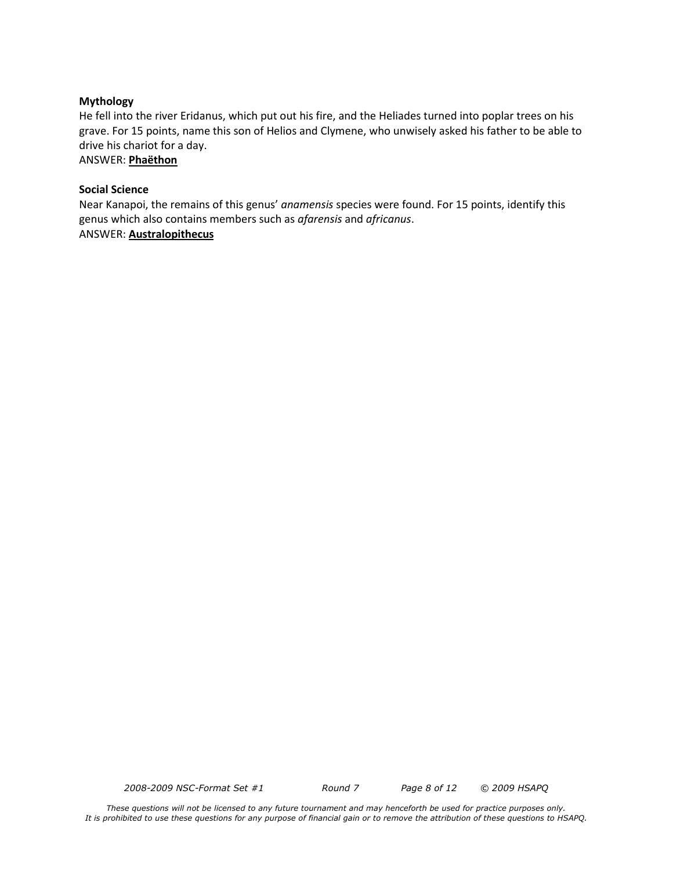#### **Mythology**

He fell into the river Eridanus, which put out his fire, and the Heliades turned into poplar trees on his grave. For 15 points, name this son of Helios and Clymene, who unwisely asked his father to be able to drive his chariot for a day.

ANSWER: **Phaëthon**

#### **Social Science**

Near Kanapoi, the remains of this genus' *anamensis* species were found. For 15 points, identify this genus which also contains members such as *afarensis* and *africanus*. ANSWER: **Australopithecus**

*2008-2009 NSC-Format Set #1 Round 7 Page 8 of 12 © 2009 HSAPQ*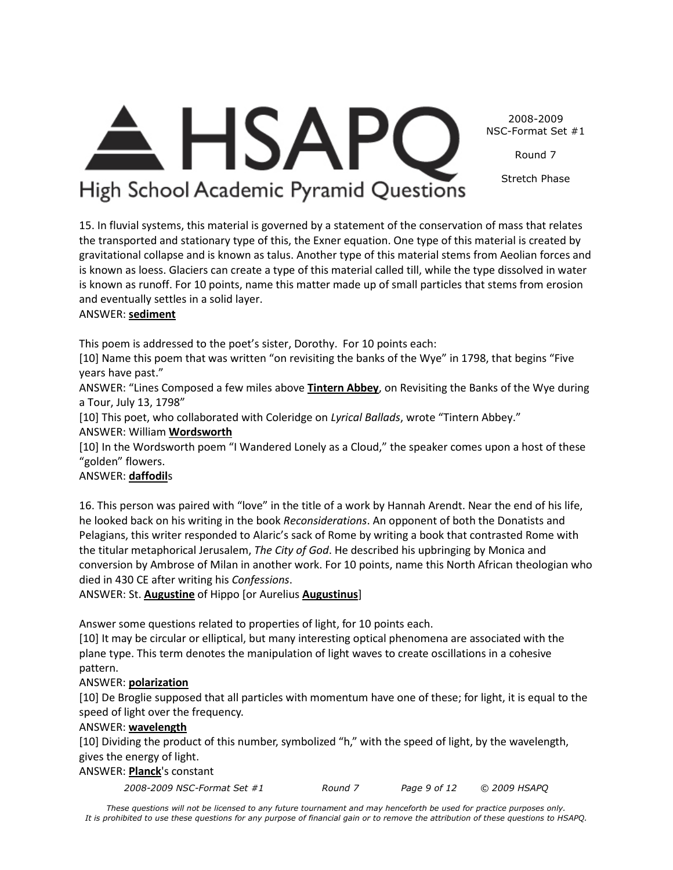2008-2009 NSC-Format Set #1

Round 7

Stretch Phase

# <del>A</del> HSAPC High School Academic Pyramid Questions

15. In fluvial systems, this material is governed by a statement of the conservation of mass that relates the transported and stationary type of this, the Exner equation. One type of this material is created by gravitational collapse and is known as talus. Another type of this material stems from Aeolian forces and is known as loess. Glaciers can create a type of this material called till, while the type dissolved in water is known as runoff. For 10 points, name this matter made up of small particles that stems from erosion and eventually settles in a solid layer.

# ANSWER: **sediment**

This poem is addressed to the poet's sister, Dorothy. For 10 points each:

[10] Name this poem that was written "on revisiting the banks of the Wye" in 1798, that begins "Five years have past."

ANSWER: "Lines Composed a few miles above **Tintern Abbey**, on Revisiting the Banks of the Wye during a Tour, July 13, 1798"

[10] This poet, who collaborated with Coleridge on *Lyrical Ballads*, wrote "Tintern Abbey."

ANSWER: William **Wordsworth**

[10] In the Wordsworth poem "I Wandered Lonely as a Cloud," the speaker comes upon a host of these "golden" flowers.

# ANSWER: **daffodil**s

16. This person was paired with "love" in the title of a work by Hannah Arendt. Near the end of his life, he looked back on his writing in the book *Reconsiderations*. An opponent of both the Donatists and Pelagians, this writer responded to Alaric's sack of Rome by writing a book that contrasted Rome with the titular metaphorical Jerusalem, *The City of God*. He described his upbringing by Monica and conversion by Ambrose of Milan in another work. For 10 points, name this North African theologian who died in 430 CE after writing his *Confessions*.

ANSWER: St. **Augustine** of Hippo [or Aurelius **Augustinus**]

Answer some questions related to properties of light, for 10 points each.

[10] It may be circular or elliptical, but many interesting optical phenomena are associated with the plane type. This term denotes the manipulation of light waves to create oscillations in a cohesive pattern.

# ANSWER: **polarization**

[10] De Broglie supposed that all particles with momentum have one of these; for light, it is equal to the speed of light over the frequency.

# ANSWER: **wavelength**

[10] Dividing the product of this number, symbolized "h," with the speed of light, by the wavelength, gives the energy of light.

# ANSWER: **Planck**'s constant

*2008-2009 NSC-Format Set #1 Round 7 Page 9 of 12 © 2009 HSAPQ*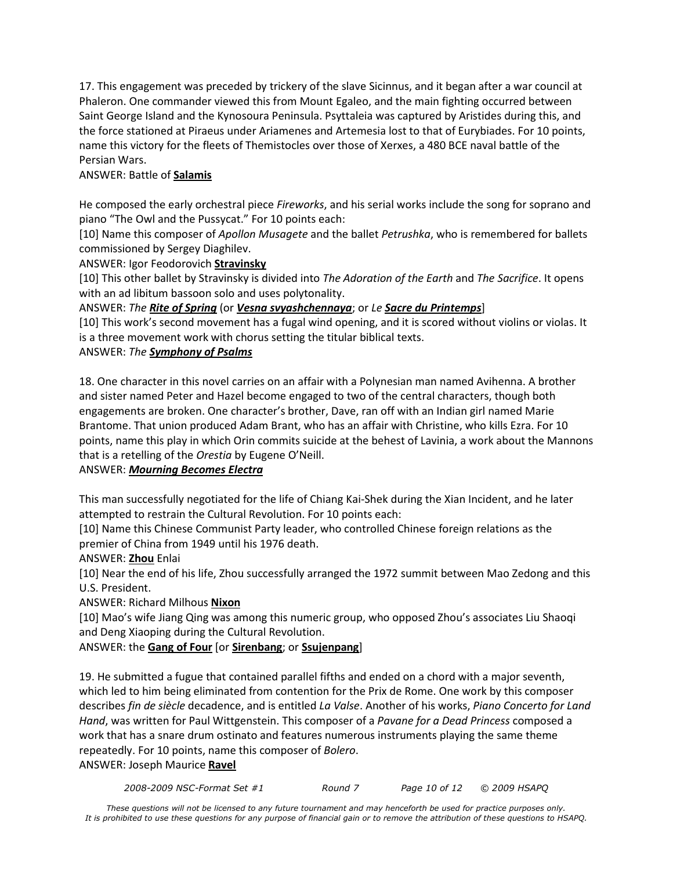17. This engagement was preceded by trickery of the slave Sicinnus, and it began after a war council at Phaleron. One commander viewed this from Mount Egaleo, and the main fighting occurred between Saint George Island and the Kynosoura Peninsula. Psyttaleia was captured by Aristides during this, and the force stationed at Piraeus under Ariamenes and Artemesia lost to that of Eurybiades. For 10 points, name this victory for the fleets of Themistocles over those of Xerxes, a 480 BCE naval battle of the Persian Wars.

# ANSWER: Battle of **Salamis**

He composed the early orchestral piece *Fireworks*, and his serial works include the song for soprano and piano "The Owl and the Pussycat." For 10 points each:

[10] Name this composer of *Apollon Musagete* and the ballet *Petrushka*, who is remembered for ballets commissioned by Sergey Diaghilev.

ANSWER: Igor Feodorovich **Stravinsky**

[10] This other ballet by Stravinsky is divided into *The Adoration of the Earth* and *The Sacrifice*. It opens with an ad libitum bassoon solo and uses polytonality.

ANSWER: *The Rite of Spring* (or *Vesna svyashchennaya*; or *Le Sacre du Printemps*]

[10] This work's second movement has a fugal wind opening, and it is scored without violins or violas. It is a three movement work with chorus setting the titular biblical texts.

# ANSWER: *The Symphony of Psalms*

18. One character in this novel carries on an affair with a Polynesian man named Avihenna. A brother and sister named Peter and Hazel become engaged to two of the central characters, though both engagements are broken. One character's brother, Dave, ran off with an Indian girl named Marie Brantome. That union produced Adam Brant, who has an affair with Christine, who kills Ezra. For 10 points, name this play in which Orin commits suicide at the behest of Lavinia, a work about the Mannons that is a retelling of the *Orestia* by Eugene O'Neill.

### ANSWER: *Mourning Becomes Electra*

This man successfully negotiated for the life of Chiang Kai-Shek during the Xian Incident, and he later attempted to restrain the Cultural Revolution. For 10 points each:

[10] Name this Chinese Communist Party leader, who controlled Chinese foreign relations as the premier of China from 1949 until his 1976 death.

# ANSWER: **Zhou** Enlai

[10] Near the end of his life, Zhou successfully arranged the 1972 summit between Mao Zedong and this U.S. President.

ANSWER: Richard Milhous **Nixon**

[10] Mao's wife Jiang Qing was among this numeric group, who opposed Zhou's associates Liu Shaoqi and Deng Xiaoping during the Cultural Revolution.

ANSWER: the **Gang of Four** [or **Sirenbang**; or **Ssujenpang**]

19. He submitted a fugue that contained parallel fifths and ended on a chord with a major seventh, which led to him being eliminated from contention for the Prix de Rome. One work by this composer describes *fin de siècle* decadence, and is entitled *La Valse*. Another of his works, *Piano Concerto for Land Hand*, was written for Paul Wittgenstein. This composer of a *Pavane for a Dead Princess* composed a work that has a snare drum ostinato and features numerous instruments playing the same theme repeatedly. For 10 points, name this composer of *Bolero*.

ANSWER: Joseph Maurice **Ravel**

*2008-2009 NSC-Format Set #1 Round 7 Page 10 of 12 © 2009 HSAPQ*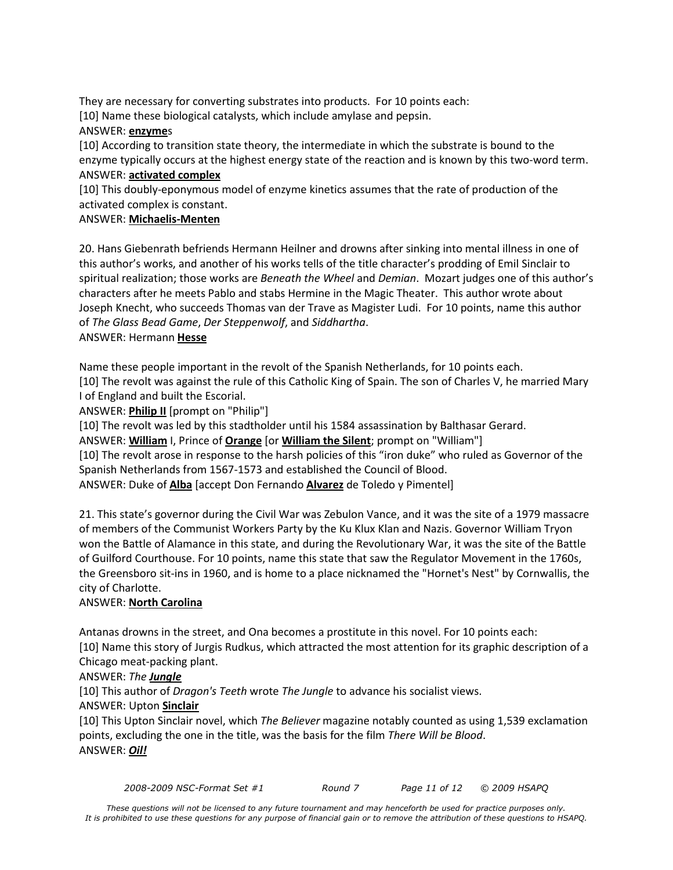They are necessary for converting substrates into products. For 10 points each:

[10] Name these biological catalysts, which include amylase and pepsin.

### ANSWER: **enzyme**s

[10] According to transition state theory, the intermediate in which the substrate is bound to the enzyme typically occurs at the highest energy state of the reaction and is known by this two-word term. ANSWER: **activated complex**

[10] This doubly-eponymous model of enzyme kinetics assumes that the rate of production of the activated complex is constant.

# ANSWER: **Michaelis-Menten**

20. Hans Giebenrath befriends Hermann Heilner and drowns after sinking into mental illness in one of this author's works, and another of his works tells of the title character's prodding of Emil Sinclair to spiritual realization; those works are *Beneath the Wheel* and *Demian*. Mozart judges one of this author's characters after he meets Pablo and stabs Hermine in the Magic Theater. This author wrote about Joseph Knecht, who succeeds Thomas van der Trave as Magister Ludi. For 10 points, name this author of *The Glass Bead Game*, *Der Steppenwolf*, and *Siddhartha*.

# ANSWER: Hermann **Hesse**

Name these people important in the revolt of the Spanish Netherlands, for 10 points each.

[10] The revolt was against the rule of this Catholic King of Spain. The son of Charles V, he married Mary I of England and built the Escorial.

ANSWER: **Philip II** [prompt on "Philip"]

[10] The revolt was led by this stadtholder until his 1584 assassination by Balthasar Gerard.

ANSWER: **William** I, Prince of **Orange** [or **William the Silent**; prompt on "William"]

[10] The revolt arose in response to the harsh policies of this "iron duke" who ruled as Governor of the Spanish Netherlands from 1567-1573 and established the Council of Blood.

ANSWER: Duke of **Alba** [accept Don Fernando **Alvarez** de Toledo y Pimentel]

21. This state's governor during the Civil War was Zebulon Vance, and it was the site of a 1979 massacre of members of the Communist Workers Party by the Ku Klux Klan and Nazis. Governor William Tryon won the Battle of Alamance in this state, and during the Revolutionary War, it was the site of the Battle of Guilford Courthouse. For 10 points, name this state that saw the Regulator Movement in the 1760s, the Greensboro sit-ins in 1960, and is home to a place nicknamed the "Hornet's Nest" by Cornwallis, the city of Charlotte.

# ANSWER: **North Carolina**

Antanas drowns in the street, and Ona becomes a prostitute in this novel. For 10 points each: [10] Name this story of Jurgis Rudkus, which attracted the most attention for its graphic description of a Chicago meat-packing plant.

# ANSWER: *The Jungle*

[10] This author of *Dragon's Teeth* wrote *The Jungle* to advance his socialist views.

### ANSWER: Upton **Sinclair**

[10] This Upton Sinclair novel, which *The Believer* magazine notably counted as using 1,539 exclamation points, excluding the one in the title, was the basis for the film *There Will be Blood*. ANSWER: *Oil!*

*2008-2009 NSC-Format Set #1 Round 7 Page 11 of 12 © 2009 HSAPQ*